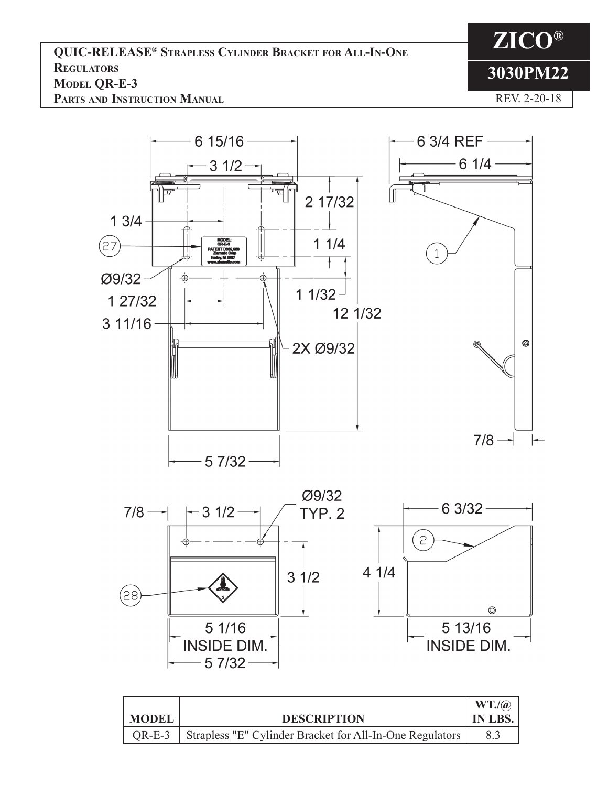**ZICO® 3030PM22** REV. 2-20-18





| <b>MODEL</b> | <b>DESCRIPTION</b>                                              | <b>IN LBS.</b> |
|--------------|-----------------------------------------------------------------|----------------|
|              | QR-E-3 Strapless "E" Cylinder Bracket for All-In-One Regulators | 8.3            |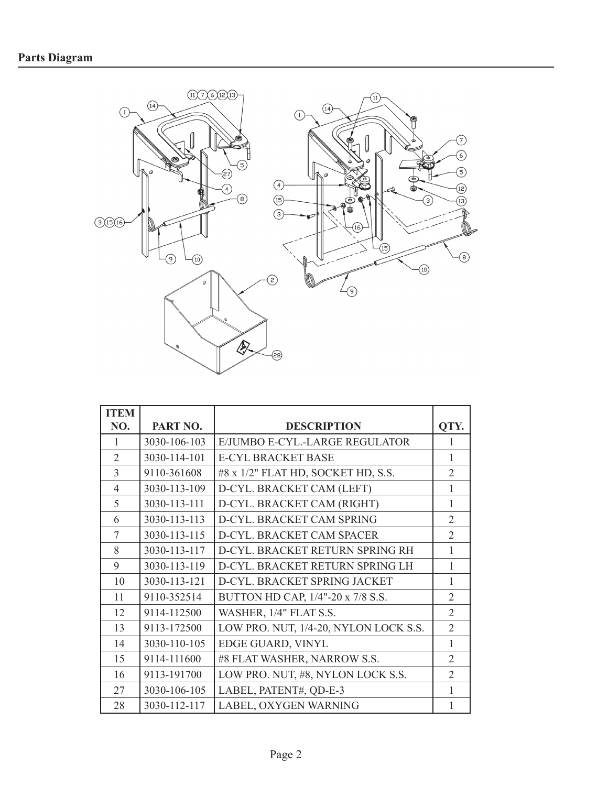

| <b>ITEM</b>    |              |                                       |                |
|----------------|--------------|---------------------------------------|----------------|
| NO.            | PART NO.     | <b>DESCRIPTION</b>                    | QTY.           |
| 1              | 3030-106-103 | E/JUMBO E-CYL.-LARGE REGULATOR        | 1              |
| $\overline{2}$ | 3030-114-101 | <b>E-CYL BRACKET BASE</b>             | 1              |
| 3              | 9110-361608  | #8 x 1/2" FLAT HD, SOCKET HD, S.S.    | $\overline{2}$ |
| $\overline{4}$ | 3030-113-109 | D-CYL. BRACKET CAM (LEFT)             | 1              |
| 5              | 3030-113-111 | D-CYL. BRACKET CAM (RIGHT)            | 1              |
| 6              | 3030-113-113 | D-CYL. BRACKET CAM SPRING             | $\overline{2}$ |
| 7              | 3030-113-115 | D-CYL. BRACKET CAM SPACER             | $\overline{2}$ |
| 8              | 3030-113-117 | D-CYL. BRACKET RETURN SPRING RH       |                |
| 9              | 3030-113-119 | D-CYL. BRACKET RETURN SPRING LH       | 1              |
| 10             | 3030-113-121 | D-CYL. BRACKET SPRING JACKET          | 1              |
| 11             | 9110-352514  | BUTTON HD CAP, 1/4"-20 x 7/8 S.S.     | $\overline{2}$ |
| 12             | 9114-112500  | WASHER, 1/4" FLAT S.S.                | $\overline{2}$ |
| 13             | 9113-172500  | LOW PRO. NUT, 1/4-20, NYLON LOCK S.S. | $\overline{2}$ |
| 14             | 3030-110-105 | EDGE GUARD, VINYL                     | 1              |
| 15             | 9114-111600  | #8 FLAT WASHER, NARROW S.S.           | $\overline{2}$ |
| 16             | 9113-191700  | LOW PRO. NUT, #8, NYLON LOCK S.S.     | $\overline{2}$ |
| 27             | 3030-106-105 | LABEL, PATENT#, QD-E-3                |                |
| 28             | 3030-112-117 | LABEL, OXYGEN WARNING                 |                |